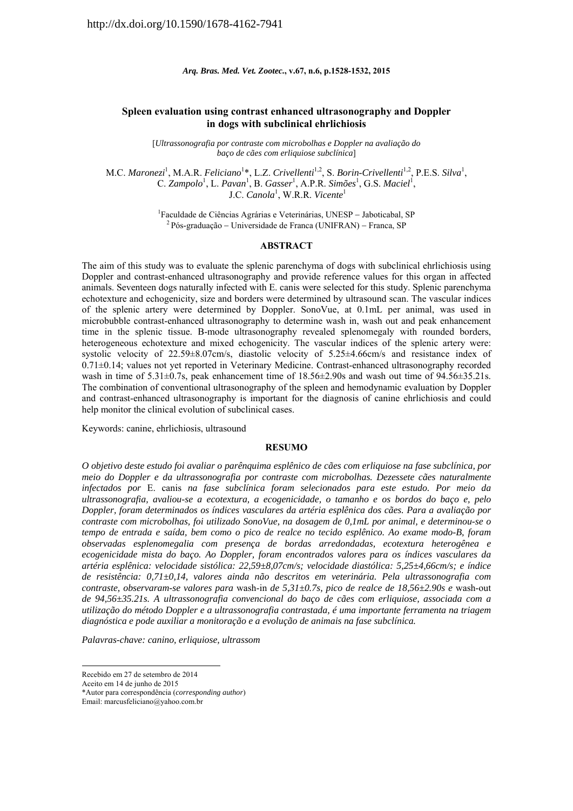*Arq. Bras. Med. Vet. Zootec.***, v.67, n.6, p.1528-1532, 2015** 

# **Spleen evaluation using contrast enhanced ultrasonography and Doppler in dogs with subclinical ehrlichiosis**

[*Ultrassonografia por contraste com microbolhas e Doppler na avaliação do baço de cães com erliquiose subclínica*]

M.C. *Maronezi*<sup>1</sup>, M.A.R. *Feliciano*<sup>1</sup>\*, L.Z. *Crivellenti*<sup>1,2</sup>, S. *Borin-Crivellenti*<sup>1,2</sup>, P.E.S. *Silva*<sup>1</sup>, C. Zampolo<sup>1</sup>, L. Pavan<sup>1</sup>, B. Gasser<sup>1</sup>, A.P.R. *Simões<sup>1</sup>*, G.S. *Maciel<sup>1</sup>*, J.C. *Canola*<sup>1</sup>, W.R.R. *Vicente*<sup>1</sup>

<sup>1</sup> Faculdade de Ciências Agrárias e Veterinárias, UNESP - Jaboticabal, SP<br><sup>2</sup> Pós-graduação - Universidade de Franca (UNIFRAN) - Franca, SP

### **ABSTRACT**

The aim of this study was to evaluate the splenic parenchyma of dogs with subclinical ehrlichiosis using Doppler and contrast-enhanced ultrasonography and provide reference values for this organ in affected animals. Seventeen dogs naturally infected with E. canis were selected for this study. Splenic parenchyma echotexture and echogenicity, size and borders were determined by ultrasound scan. The vascular indices of the splenic artery were determined by Doppler. SonoVue, at 0.1mL per animal, was used in microbubble contrast-enhanced ultrasonography to determine wash in, wash out and peak enhancement time in the splenic tissue. B-mode ultrasonography revealed splenomegaly with rounded borders, heterogeneous echotexture and mixed echogenicity. The vascular indices of the splenic artery were: systolic velocity of 22.59±8.07cm/s, diastolic velocity of 5.25±4.66cm/s and resistance index of 0.71±0.14; values not yet reported in Veterinary Medicine. Contrast-enhanced ultrasonography recorded wash in time of  $5.31\pm0.7$ s, peak enhancement time of  $18.56\pm2.90$ s and wash out time of  $94.56\pm35.21$ s. The combination of conventional ultrasonography of the spleen and hemodynamic evaluation by Doppler and contrast-enhanced ultrasonography is important for the diagnosis of canine ehrlichiosis and could help monitor the clinical evolution of subclinical cases.

Keywords: canine, ehrlichiosis, ultrasound

## **RESUMO**

*O objetivo deste estudo foi avaliar o parênquima esplênico de cães com erliquiose na fase subclínica, por meio do Doppler e da ultrassonografia por contraste com microbolhas. Dezessete cães naturalmente infectados por* E. canis *na fase subclínica foram selecionados para este estudo. Por meio da ultrassonografia, avaliou-se a ecotextura, a ecogenicidade, o tamanho e os bordos do baço e, pelo Doppler, foram determinados os índices vasculares da artéria esplênica dos cães. Para a avaliação por contraste com microbolhas, foi utilizado SonoVue, na dosagem de 0,1mL por animal, e determinou-se o tempo de entrada e saída, bem como o pico de realce no tecido esplênico. Ao exame modo-B, foram observadas esplenomegalia com presença de bordas arredondadas, ecotextura heterogênea e ecogenicidade mista do baço. Ao Doppler, foram encontrados valores para os índices vasculares da artéria esplênica: velocidade sistólica: 22,59±8,07cm/s; velocidade diastólica: 5,25±4,66cm/s; e índice de resistência: 0,71±0,14, valores ainda não descritos em veterinária. Pela ultrassonografia com contraste, observaram-se valores para* wash-in *de 5,31±0.7s, pico de realce de 18,56±2.90s e* wash-out *de 94,56±35.21s. A ultrassonografia convencional do baço de cães com erliquiose, associada com a utilização do método Doppler e a ultrassonografia contrastada, é uma importante ferramenta na triagem diagnóstica e pode auxiliar a monitoração e a evolução de animais na fase subclínica.* 

*Palavras-chave: canino, erliquiose, ultrassom* 

-

Recebido em 27 de setembro de 2014

Aceito em 14 de junho de 2015

<sup>\*</sup>Autor para correspondência (*corresponding author*)

Email: marcusfeliciano@yahoo.com.br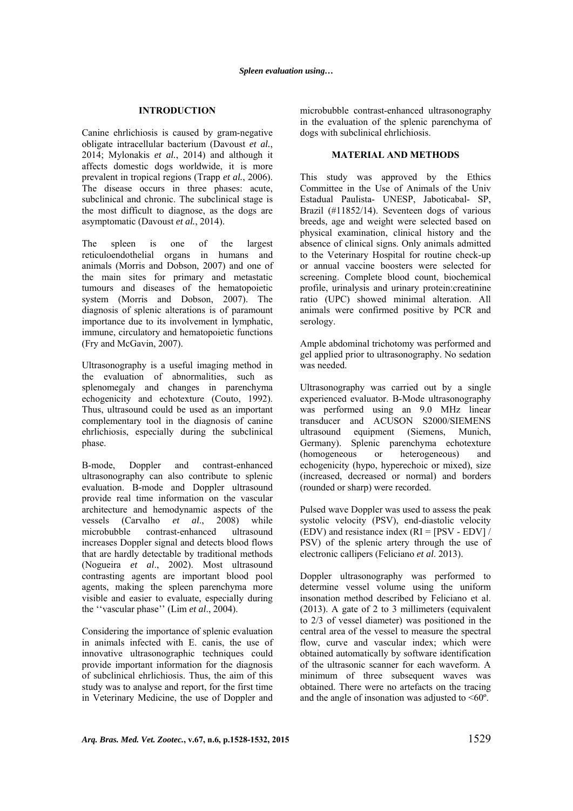## **INTRODUCTION**

Canine ehrlichiosis is caused by gram-negative obligate intracellular bacterium (Davoust *et al.*, 2014; Mylonakis *et al.*, 2014) and although it affects domestic dogs worldwide, it is more prevalent in tropical regions (Trapp *et al.*, 2006). The disease occurs in three phases: acute, subclinical and chronic. The subclinical stage is the most difficult to diagnose, as the dogs are asymptomatic (Davoust *et al.*, 2014).

The spleen is one of the largest reticuloendothelial organs in humans and animals (Morris and Dobson, 2007) and one of the main sites for primary and metastatic tumours and diseases of the hematopoietic system (Morris and Dobson, 2007). The diagnosis of splenic alterations is of paramount importance due to its involvement in lymphatic, immune, circulatory and hematopoietic functions (Fry and McGavin, 2007).

Ultrasonography is a useful imaging method in the evaluation of abnormalities, such as splenomegaly and changes in parenchyma echogenicity and echotexture (Couto, 1992). Thus, ultrasound could be used as an important complementary tool in the diagnosis of canine ehrlichiosis, especially during the subclinical phase.

B-mode, Doppler and contrast-enhanced ultrasonography can also contribute to splenic evaluation. B-mode and Doppler ultrasound provide real time information on the vascular architecture and hemodynamic aspects of the vessels (Carvalho *et al*., 2008) while microbubble contrast-enhanced ultrasound increases Doppler signal and detects blood flows that are hardly detectable by traditional methods (Nogueira *et al*., 2002). Most ultrasound contrasting agents are important blood pool agents, making the spleen parenchyma more visible and easier to evaluate, especially during the ''vascular phase'' (Lim *et al*., 2004).

Considering the importance of splenic evaluation in animals infected with E. canis, the use of innovative ultrasonographic techniques could provide important information for the diagnosis of subclinical ehrlichiosis. Thus, the aim of this study was to analyse and report, for the first time in Veterinary Medicine, the use of Doppler and microbubble contrast-enhanced ultrasonography in the evaluation of the splenic parenchyma of dogs with subclinical ehrlichiosis.

## **MATERIAL AND METHODS**

This study was approved by the Ethics Committee in the Use of Animals of the Univ Estadual Paulista- UNESP, Jaboticabal- SP, Brazil (#11852/14). Seventeen dogs of various breeds, age and weight were selected based on physical examination, clinical history and the absence of clinical signs. Only animals admitted to the Veterinary Hospital for routine check-up or annual vaccine boosters were selected for screening. Complete blood count, biochemical profile, urinalysis and urinary protein:creatinine ratio (UPC) showed minimal alteration. All animals were confirmed positive by PCR and serology.

Ample abdominal trichotomy was performed and gel applied prior to ultrasonography. No sedation was needed.

Ultrasonography was carried out by a single experienced evaluator. B-Mode ultrasonography was performed using an 9.0 MHz linear transducer and ACUSON S2000/SIEMENS ultrasound equipment (Siemens, Munich, Germany). Splenic parenchyma echotexture (homogeneous or heterogeneous) and echogenicity (hypo, hyperechoic or mixed), size (increased, decreased or normal) and borders (rounded or sharp) were recorded.

Pulsed wave Doppler was used to assess the peak systolic velocity (PSV), end-diastolic velocity (EDV) and resistance index (RI = [PSV - EDV] / PSV) of the splenic artery through the use of electronic callipers (Feliciano *et al*. 2013).

Doppler ultrasonography was performed to determine vessel volume using the uniform insonation method described by Feliciano et al. (2013). A gate of 2 to 3 millimeters (equivalent to 2/3 of vessel diameter) was positioned in the central area of the vessel to measure the spectral flow, curve and vascular index; which were obtained automatically by software identification of the ultrasonic scanner for each waveform. A minimum of three subsequent waves was obtained. There were no artefacts on the tracing and the angle of insonation was adjusted to  $\leq 60^\circ$ .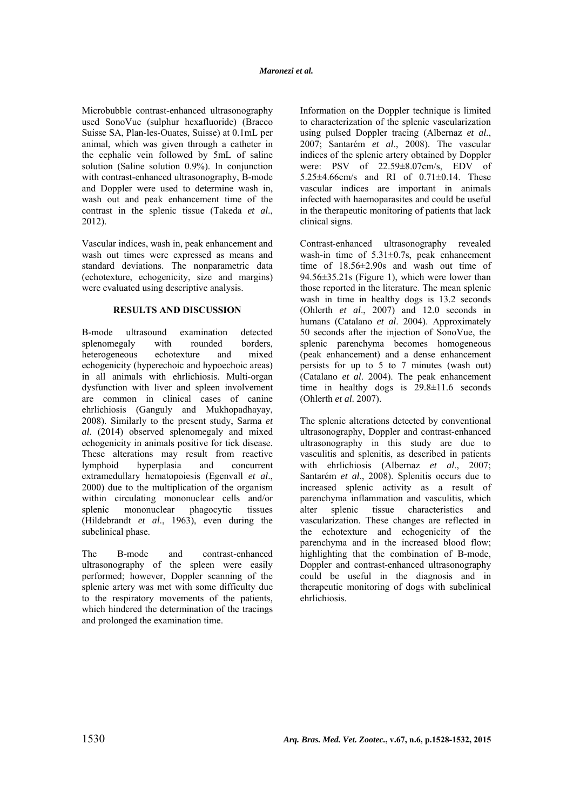Microbubble contrast-enhanced ultrasonography used SonoVue (sulphur hexafluoride) (Bracco Suisse SA, Plan-les-Ouates, Suisse) at 0.1mL per animal, which was given through a catheter in the cephalic vein followed by 5mL of saline solution (Saline solution 0.9%). In conjunction with contrast-enhanced ultrasonography, B-mode and Doppler were used to determine wash in, wash out and peak enhancement time of the contrast in the splenic tissue (Takeda *et al*., 2012).

Vascular indices, wash in, peak enhancement and wash out times were expressed as means and standard deviations. The nonparametric data (echotexture, echogenicity, size and margins) were evaluated using descriptive analysis.

## **RESULTS AND DISCUSSION**

B-mode ultrasound examination detected splenomegaly with rounded borders, heterogeneous echotexture and mixed echogenicity (hyperechoic and hypoechoic areas) in all animals with ehrlichiosis. Multi-organ dysfunction with liver and spleen involvement are common in clinical cases of canine ehrlichiosis (Ganguly and Mukhopadhayay, 2008). Similarly to the present study, Sarma *et al*. (2014) observed splenomegaly and mixed echogenicity in animals positive for tick disease. These alterations may result from reactive lymphoid hyperplasia and concurrent extramedullary hematopoiesis (Egenvall *et al*., 2000) due to the multiplication of the organism within circulating mononuclear cells and/or splenic mononuclear phagocytic tissues (Hildebrandt *et al*., 1963), even during the subclinical phase.

The B-mode and contrast-enhanced ultrasonography of the spleen were easily performed; however, Doppler scanning of the splenic artery was met with some difficulty due to the respiratory movements of the patients, which hindered the determination of the tracings and prolonged the examination time.

Information on the Doppler technique is limited to characterization of the splenic vascularization using pulsed Doppler tracing (Albernaz *et al*., 2007; Santarém *et al*., 2008). The vascular indices of the splenic artery obtained by Doppler were: PSV of 22.59±8.07cm/s, EDV of 5.25±4.66cm/s and RI of 0.71±0.14. These vascular indices are important in animals infected with haemoparasites and could be useful in the therapeutic monitoring of patients that lack clinical signs.

Contrast-enhanced ultrasonography revealed wash-in time of 5.31±0.7s, peak enhancement time of 18.56±2.90s and wash out time of 94.56±35.21s (Figure 1), which were lower than those reported in the literature. The mean splenic wash in time in healthy dogs is 13.2 seconds (Ohlerth *et al*., 2007) and 12.0 seconds in humans (Catalano *et al*. 2004). Approximately 50 seconds after the injection of SonoVue, the splenic parenchyma becomes homogeneous (peak enhancement) and a dense enhancement persists for up to 5 to 7 minutes (wash out) (Catalano *et al*. 2004). The peak enhancement time in healthy dogs is 29.8±11.6 seconds (Ohlerth *et al*. 2007).

The splenic alterations detected by conventional ultrasonography, Doppler and contrast-enhanced ultrasonography in this study are due to vasculitis and splenitis, as described in patients with ehrlichiosis (Albernaz *et al*., 2007; Santarém *et al*., 2008). Splenitis occurs due to increased splenic activity as a result of parenchyma inflammation and vasculitis, which alter splenic tissue characteristics and vascularization. These changes are reflected in the echotexture and echogenicity of the parenchyma and in the increased blood flow; highlighting that the combination of B-mode, Doppler and contrast-enhanced ultrasonography could be useful in the diagnosis and in therapeutic monitoring of dogs with subclinical ehrlichiosis.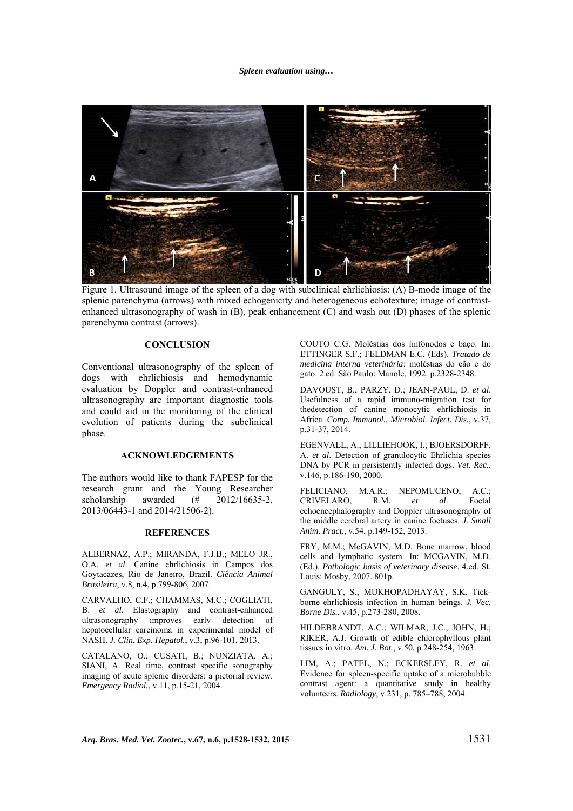### *Spleen evaluation using…*



Figure 1. Ultrasound image of the spleen of a dog with subclinical ehrlichiosis: (A) B-mode image of the splenic parenchyma (arrows) with mixed echogenicity and heterogeneous echotexture; image of contrastenhanced ultrasonography of wash in (B), peak enhancement (C) and wash out (D) phases of the splenic parenchyma contrast (arrows).

### **CONCLUSION**

Conventional ultrasonography of the spleen of dogs with ehrlichiosis and hemodynamic evaluation by Doppler and contrast-enhanced ultrasonography are important diagnostic tools and could aid in the monitoring of the clinical evolution of patients during the subclinical phase.

### **ACKNOWLEDGEMENTS**

The authors would like to thank FAPESP for the research grant and the Young Researcher scholarship awarded (# 2012/16635-2, 2013/06443-1 and 2014/21506-2).

#### **REFERENCES**

ALBERNAZ, A.P.; MIRANDA, F.J.B.; MELO JR., O.A. *et al*. Canine ehrlichiosis in Campos dos Goytacazes, Rio de Janeiro, Brazil. *Ciência Animal Brasileira*, v.8, n.4, p.799-806, 2007.

CARVALHO, C.F.; CHAMMAS, M.C.; COGLIATI, B. *et al*. Elastography and contrast-enhanced ultrasonography improves early detection of hepatocellular carcinoma in experimental model of NASH. *J. Clin. Exp. Hepatol.*, v.3, p.96-101, 2013.

CATALANO, O.; CUSATI, B.; NUNZIATA, A.; SIANI, A. Real time, contrast specific sonography imaging of acute splenic disorders: a pictorial review. *Emergency Radiol.*, v.11, p.15-21, 2004.

COUTO C.G. Moléstias dos linfonodos e baço. In: ETTINGER S.F.; FELDMAN E.C. (Eds). *Tratado de medicina interna veterinária*: moléstias do cão e do gato. 2.ed. São Paulo: Manole, 1992. p.2328-2348.

DAVOUST, B.; PARZY, D.; JEAN-PAUL, D. *et al*. Usefulness of a rapid immuno-migration test for thedetection of canine monocytic ehrlichiosis in Africa. *Comp. Immunol., Microbiol. Infect. Dis.*, v.37, p.31-37, 2014.

EGENVALL, A.; LILLIEHOOK, I.; BJOERSDORFF, A. *et al*. Detection of granulocytic Ehrlichia species DNA by PCR in persistently infected dogs. *Vet. Rec.*, v.146, p.186-190, 2000.

FELICIANO, M.A.R.; NEPOMUCENO, A.C.; CRIVELARO, R.M. *et al*. Foetal echoencephalography and Doppler ultrasonography of the middle cerebral artery in canine foetuses. *J. Small Anim. Pract.*, v.54, p.149-152, 2013.

FRY, M.M.; McGAVIN, M.D. Bone marrow, blood cells and lymphatic system. In: MCGAVIN, M.D. (Ed.). *Pathologic basis of veterinary disease*. 4.ed. St. Louis: Mosby, 2007. 801p.

GANGULY, S.; MUKHOPADHAYAY, S.K. Tickborne ehrlichiosis infection in human beings. *J. Vec. Borne Dis.*, v.45, p.273-280, 2008.

HILDEBRANDT, A.C.; WILMAR, J.C.; JOHN, H.; RIKER, A.J. Growth of edible chlorophyllous plant tissues in vitro. *Am. J. Bot.*, v.50, p.248-254, 1963.

LIM, A.; PATEL, N.; ECKERSLEY, R. *et al*. Evidence for spleen-specific uptake of a microbubble contrast agent: a quantitative study in healthy volunteers. *Radiology*, v.231, p. 785–788, 2004.